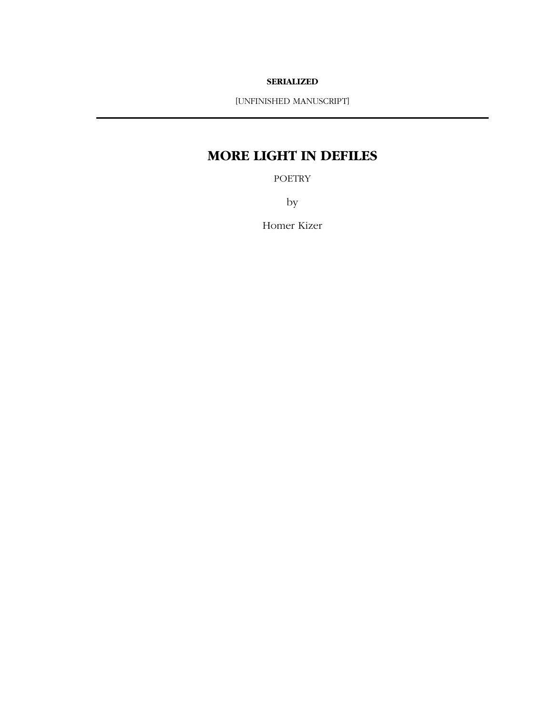#### **SERIALIZED**

[UNFINISHED MANUSCRIPT]

# **MORE LIGHT IN DEFILES**

POETRY

by

Homer Kizer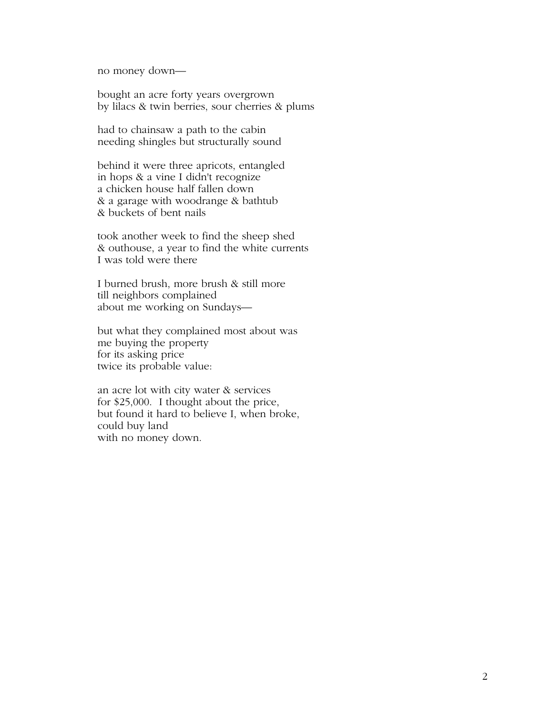no money down—

bought an acre forty years overgrown by lilacs & twin berries, sour cherries & plums

had to chainsaw a path to the cabin needing shingles but structurally sound

behind it were three apricots, entangled in hops & a vine I didn't recognize a chicken house half fallen down & a garage with woodrange & bathtub & buckets of bent nails

took another week to find the sheep shed & outhouse, a year to find the white currents I was told were there

I burned brush, more brush & still more till neighbors complained about me working on Sundays—

but what they complained most about was me buying the property for its asking price twice its probable value:

an acre lot with city water & services for \$25,000. I thought about the price, but found it hard to believe I, when broke, could buy land with no money down.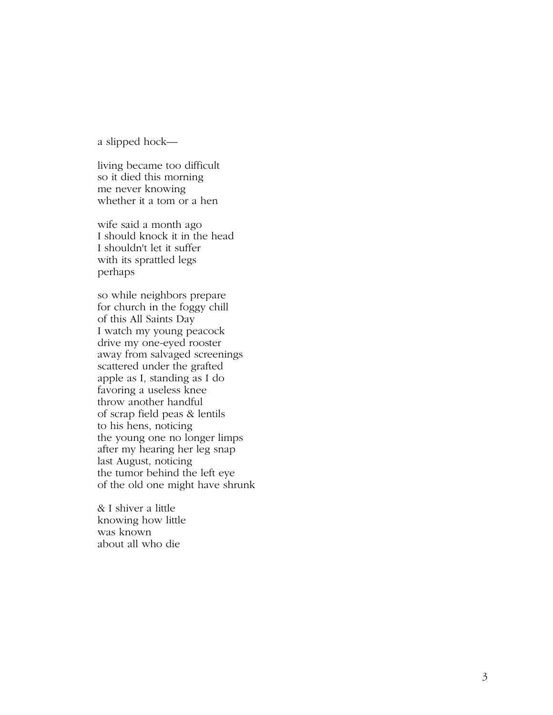a slipped hock—

living became too difficult so it died this morning me never knowing whether it a tom or a hen

wife said a month ago I should knock it in the head I shouldn't let it suffer with its sprattled legs perhaps

so while neighbors prepare for church in the foggy chill of this All Saints Day I watch my young peacock drive my one-eyed rooster away from salvaged screenings scattered under the grafted apple as I, standing as I do favoring a useless knee throw another handful of scrap field peas & lentils to his hens, noticing the young one no longer limps after my hearing her leg snap last August, noticing the tumor behind the left eye of the old one might have shrunk

& I shiver a little knowing how little was known about all who die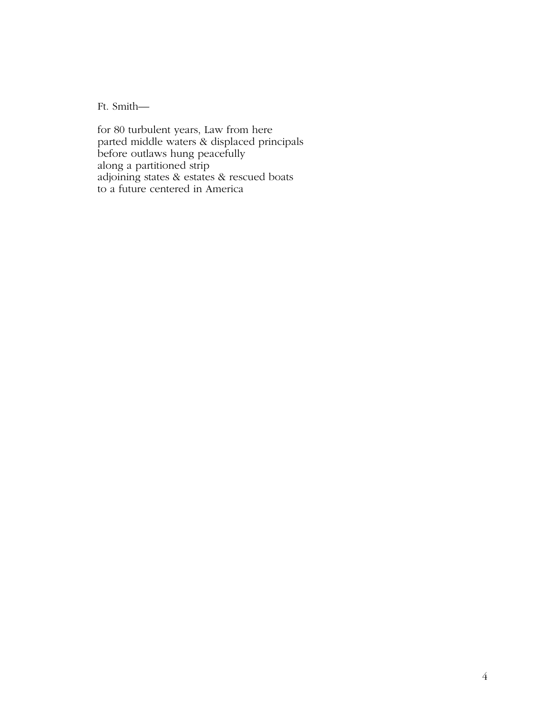Ft. Smith—

for 80 turbulent years, Law from here parted middle waters & displaced principals before outlaws hung peacefully along a partitioned strip adjoining states & estates & rescued boats to a future centered in America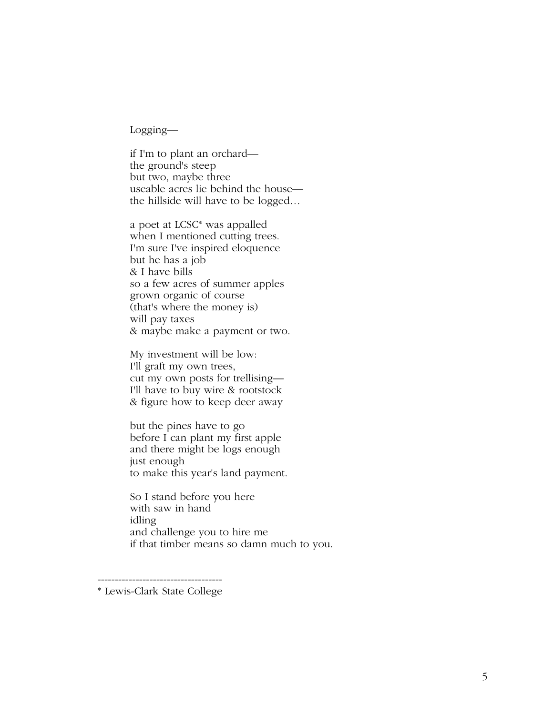Logging—

 if I'm to plant an orchard the ground's steep but two, maybe three useable acres lie behind the house the hillside will have to be logged…

 a poet at LCSC\* was appalled when I mentioned cutting trees. I'm sure I've inspired eloquence but he has a job & I have bills so a few acres of summer apples grown organic of course (that's where the money is) will pay taxes & maybe make a payment or two.

 My investment will be low: I'll graft my own trees, cut my own posts for trellising— I'll have to buy wire & rootstock & figure how to keep deer away

 but the pines have to go before I can plant my first apple and there might be logs enough just enough to make this year's land payment.

 So I stand before you here with saw in hand idling and challenge you to hire me if that timber means so damn much to you.

<sup>------------------------------------</sup>  \* Lewis-Clark State College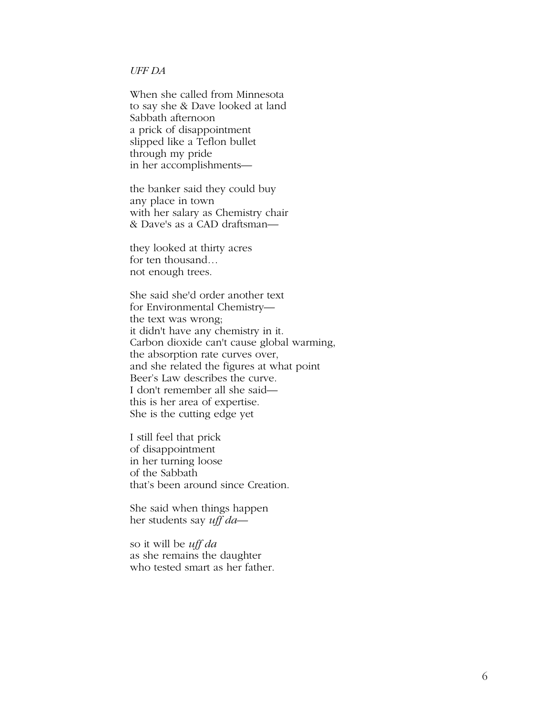#### *UFF DA*

 When she called from Minnesota to say she & Dave looked at land Sabbath afternoon a prick of disappointment slipped like a Teflon bullet through my pride in her accomplishments—

 the banker said they could buy any place in town with her salary as Chemistry chair & Dave's as a CAD draftsman—

 they looked at thirty acres for ten thousand… not enough trees.

 She said she'd order another text for Environmental Chemistry the text was wrong; it didn't have any chemistry in it. Carbon dioxide can't cause global warming, the absorption rate curves over, and she related the figures at what point Beer's Law describes the curve. I don't remember all she said this is her area of expertise. She is the cutting edge yet

 I still feel that prick of disappointment in her turning loose of the Sabbath that's been around since Creation.

 She said when things happen her students say *uff da*—

 so it will be *uff da* as she remains the daughter who tested smart as her father.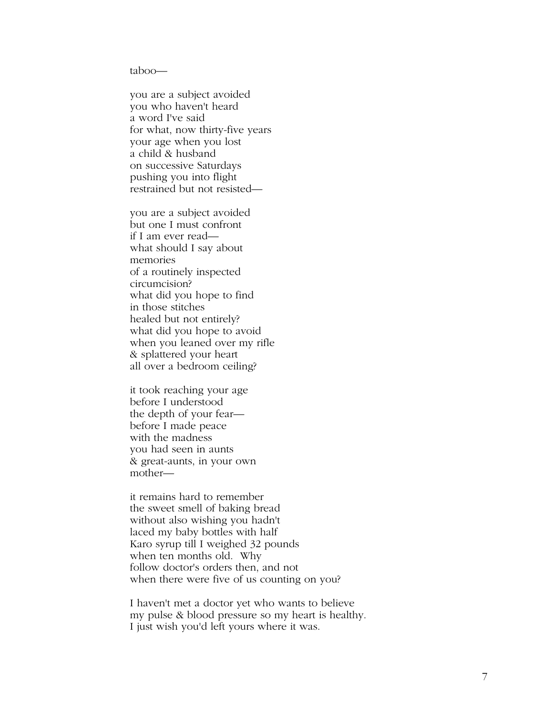taboo—

 you are a subject avoided you who haven't heard a word I've said for what, now thirty-five years your age when you lost a child & husband on successive Saturdays pushing you into flight restrained but not resisted—

 you are a subject avoided but one I must confront if I am ever read what should I say about memories of a routinely inspected circumcision? what did you hope to find in those stitches healed but not entirely? what did you hope to avoid when you leaned over my rifle & splattered your heart all over a bedroom ceiling?

 it took reaching your age before I understood the depth of your fear before I made peace with the madness you had seen in aunts & great-aunts, in your own mother—

 it remains hard to remember the sweet smell of baking bread without also wishing you hadn't laced my baby bottles with half Karo syrup till I weighed 32 pounds when ten months old. Why follow doctor's orders then, and not when there were five of us counting on you?

 I haven't met a doctor yet who wants to believe my pulse & blood pressure so my heart is healthy. I just wish you'd left yours where it was.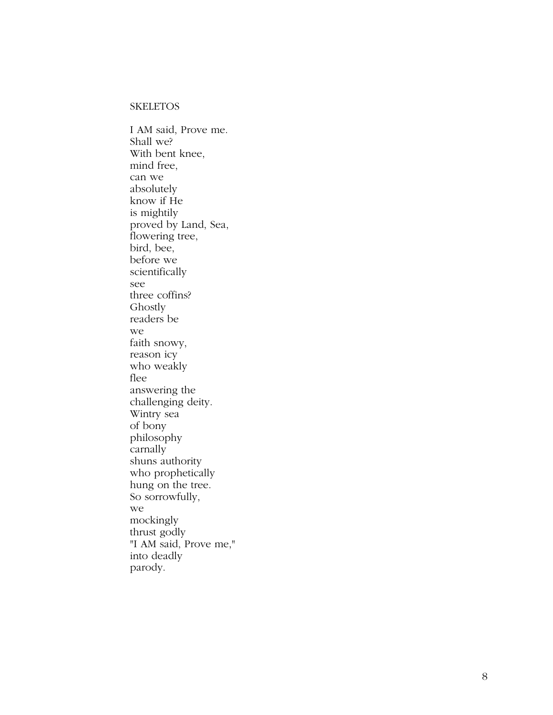## **SKELETOS**

 I AM said, Prove me. Shall we? With bent knee, mind free, can we absolutely know if He is mightily proved by Land, Sea, flowering tree, bird, bee, before we scientifically see three coffins? Ghostly readers be we faith snowy, reason icy who weakly flee answering the challenging deity. Wintry sea of bony philosophy carnally shuns authority who prophetically hung on the tree. So sorrowfully, we mockingly thrust godly "I AM said, Prove me," into deadly parody.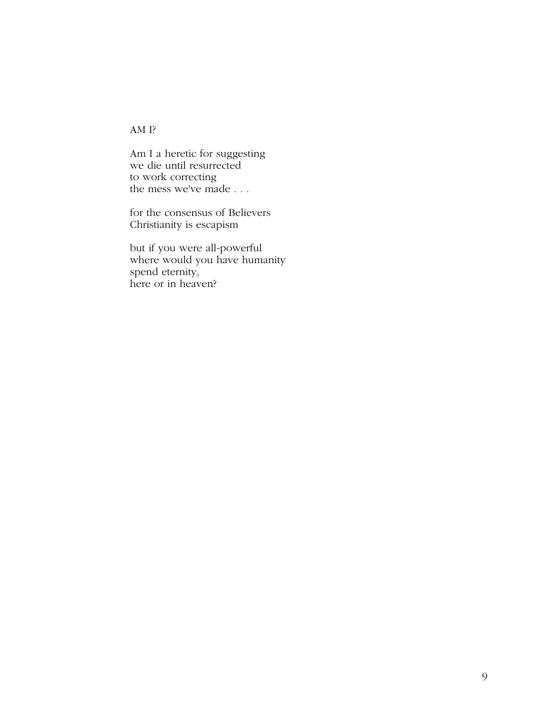# AM I?

 Am I a heretic for suggesting we die until resurrected to work correcting the mess we've made . . .

> for the consensus of Believers Christianity is escapism

 but if you were all-powerful where would you have humanity spend eternity, here or in heaven?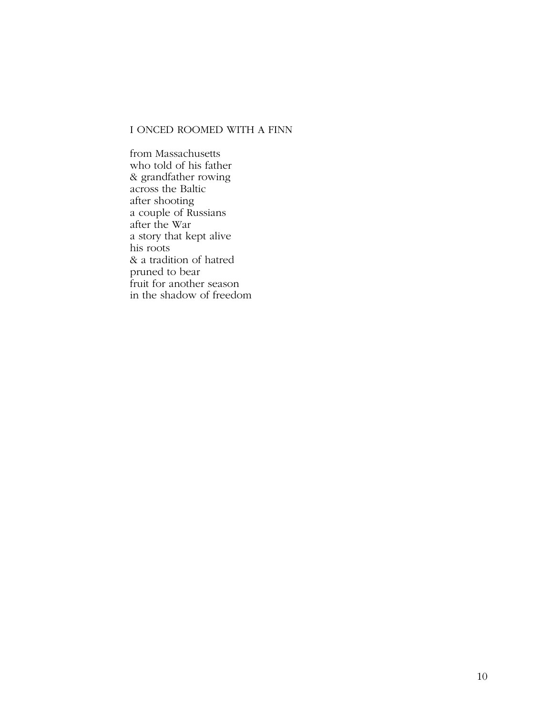# I ONCED ROOMED WITH A FINN

 from Massachusetts who told of his father & grandfather rowing across the Baltic after shooting a couple of Russians after the War a story that kept alive his roots & a tradition of hatred pruned to bear fruit for another season in the shadow of freedom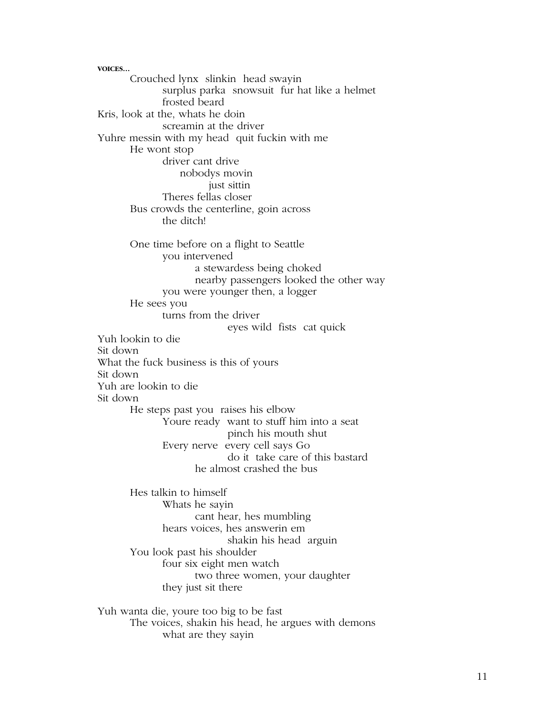**VOICES…** Crouched lynx slinkin head swayin surplus parka snowsuit fur hat like a helmet frosted beard Kris, look at the, whats he doin screamin at the driver Yuhre messin with my head quit fuckin with me He wont stop driver cant drive nobodys movin just sittin Theres fellas closer Bus crowds the centerline, goin across the ditch! One time before on a flight to Seattle you intervened a stewardess being choked nearby passengers looked the other way you were younger then, a logger He sees you turns from the driver eyes wild fists cat quick Yuh lookin to die Sit down What the fuck business is this of yours Sit down Yuh are lookin to die Sit down He steps past you raises his elbow Youre ready want to stuff him into a seat pinch his mouth shut Every nerve every cell says Go do it take care of this bastard he almost crashed the bus Hes talkin to himself Whats he sayin cant hear, hes mumbling hears voices, hes answerin em shakin his head arguin You look past his shoulder four six eight men watch two three women, your daughter they just sit there

Yuh wanta die, youre too big to be fast The voices, shakin his head, he argues with demons what are they sayin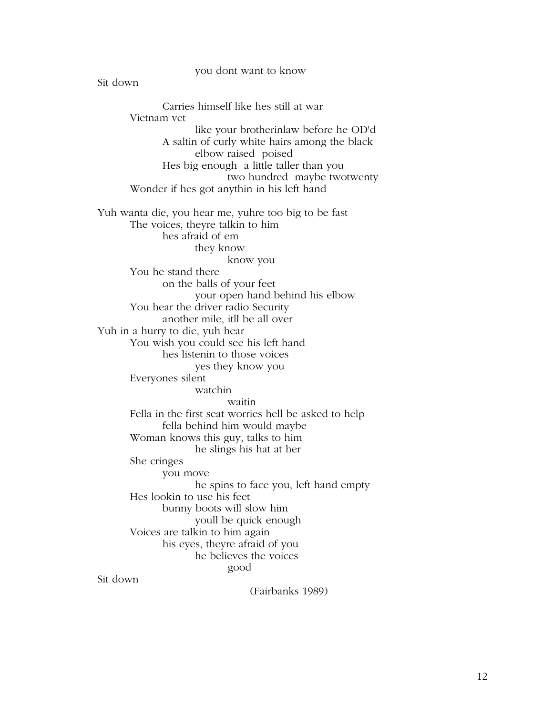Sit down Carries himself like hes still at war Vietnam vet like your brotherinlaw before he OD'd A saltin of curly white hairs among the black elbow raised poised Hes big enough a little taller than you two hundred maybe twotwenty Wonder if hes got anythin in his left hand Yuh wanta die, you hear me, yuhre too big to be fast The voices, theyre talkin to him hes afraid of em they know know you You he stand there on the balls of your feet your open hand behind his elbow You hear the driver radio Security another mile, itll be all over Yuh in a hurry to die, yuh hear You wish you could see his left hand hes listenin to those voices yes they know you Everyones silent watchin waitin Fella in the first seat worries hell be asked to help fella behind him would maybe Woman knows this guy, talks to him he slings his hat at her She cringes you move he spins to face you, left hand empty Hes lookin to use his feet bunny boots will slow him youll be quick enough Voices are talkin to him again his eyes, theyre afraid of you he believes the voices good Sit down (Fairbanks 1989)

you dont want to know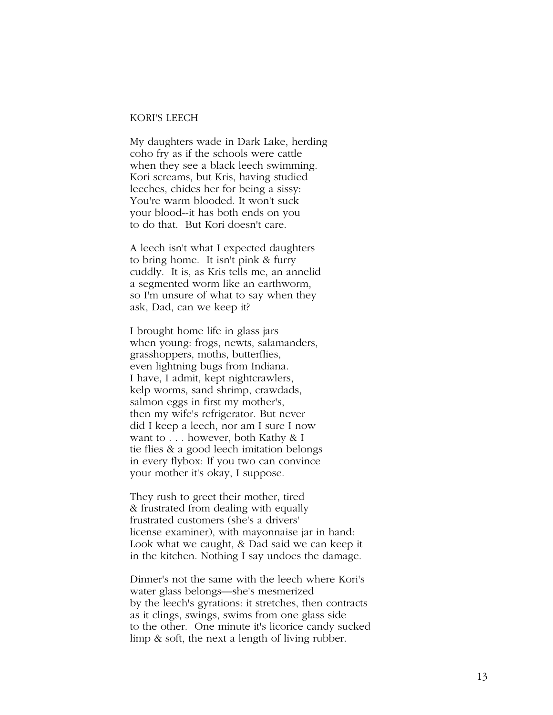#### KORI'S LEECH

 My daughters wade in Dark Lake, herding coho fry as if the schools were cattle when they see a black leech swimming. Kori screams, but Kris, having studied leeches, chides her for being a sissy: You're warm blooded. It won't suck your blood--it has both ends on you to do that. But Kori doesn't care.

 A leech isn't what I expected daughters to bring home. It isn't pink & furry cuddly. It is, as Kris tells me, an annelid a segmented worm like an earthworm, so I'm unsure of what to say when they ask, Dad, can we keep it?

 I brought home life in glass jars when young: frogs, newts, salamanders, grasshoppers, moths, butterflies, even lightning bugs from Indiana. I have, I admit, kept nightcrawlers, kelp worms, sand shrimp, crawdads, salmon eggs in first my mother's, then my wife's refrigerator. But never did I keep a leech, nor am I sure I now want to . . . however, both Kathy & I tie flies & a good leech imitation belongs in every flybox: If you two can convince your mother it's okay, I suppose.

 They rush to greet their mother, tired & frustrated from dealing with equally frustrated customers (she's a drivers' license examiner), with mayonnaise jar in hand: Look what we caught, & Dad said we can keep it in the kitchen. Nothing I say undoes the damage.

 Dinner's not the same with the leech where Kori's water glass belongs—she's mesmerized by the leech's gyrations: it stretches, then contracts as it clings, swings, swims from one glass side to the other. One minute it's licorice candy sucked limp & soft, the next a length of living rubber.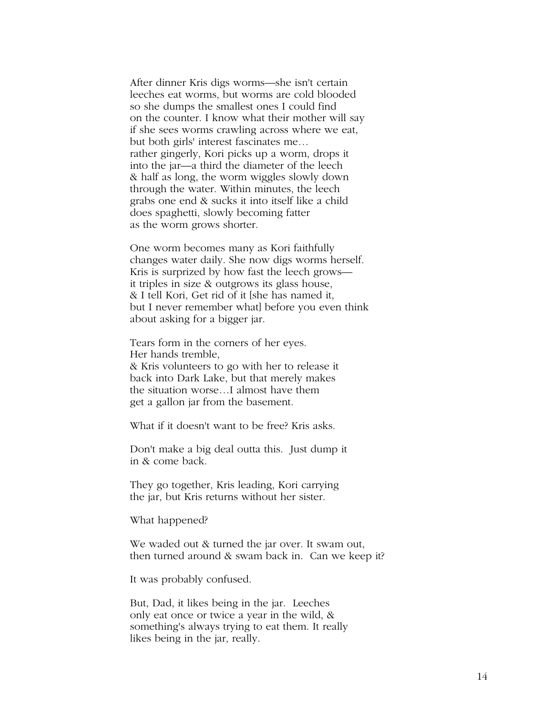After dinner Kris digs worms—she isn't certain leeches eat worms, but worms are cold blooded so she dumps the smallest ones I could find on the counter. I know what their mother will say if she sees worms crawling across where we eat, but both girls' interest fascinates me… rather gingerly, Kori picks up a worm, drops it into the jar—a third the diameter of the leech & half as long, the worm wiggles slowly down through the water. Within minutes, the leech grabs one end & sucks it into itself like a child does spaghetti, slowly becoming fatter as the worm grows shorter.

 One worm becomes many as Kori faithfully changes water daily. She now digs worms herself. Kris is surprized by how fast the leech grows it triples in size & outgrows its glass house, & I tell Kori, Get rid of it [she has named it, but I never remember what] before you even think about asking for a bigger jar.

 Tears form in the corners of her eyes. Her hands tremble, & Kris volunteers to go with her to release it back into Dark Lake, but that merely makes the situation worse…I almost have them get a gallon jar from the basement.

What if it doesn't want to be free? Kris asks.

 Don't make a big deal outta this. Just dump it in & come back.

 They go together, Kris leading, Kori carrying the jar, but Kris returns without her sister.

What happened?

We waded out & turned the jar over. It swam out, then turned around & swam back in. Can we keep it?

It was probably confused.

 But, Dad, it likes being in the jar. Leeches only eat once or twice a year in the wild, & something's always trying to eat them. It really likes being in the jar, really.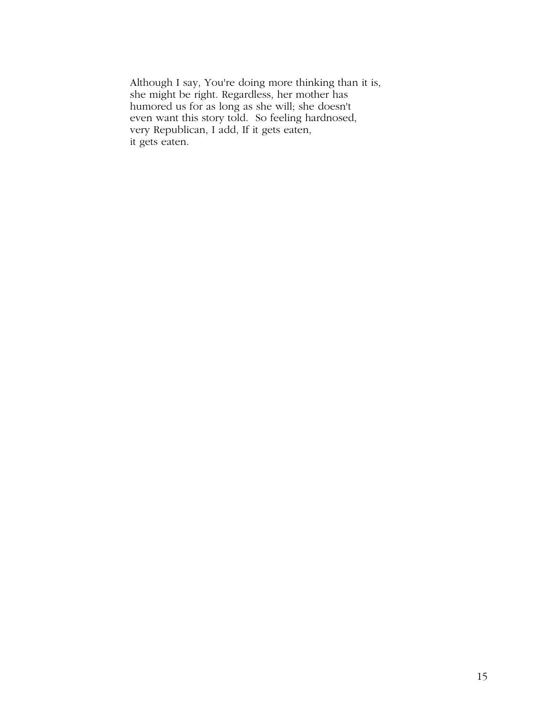Although I say, You're doing more thinking than it is, she might be right. Regardless, her mother has humored us for as long as she will; she doesn't even want this story told. So feeling hardnosed, very Republican, I add, If it gets eaten, it gets eaten.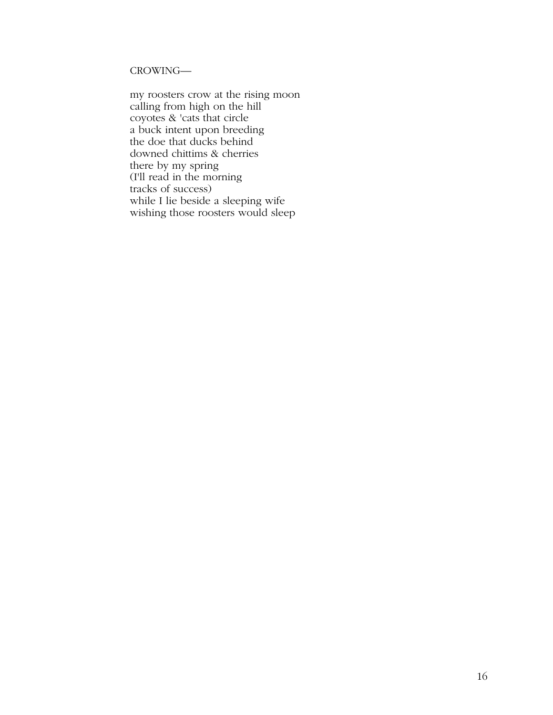## CROWING—

 my roosters crow at the rising moon calling from high on the hill coyotes & 'cats that circle a buck intent upon breeding the doe that ducks behind downed chittims & cherries there by my spring (I'll read in the morning tracks of success) while I lie beside a sleeping wife wishing those roosters would sleep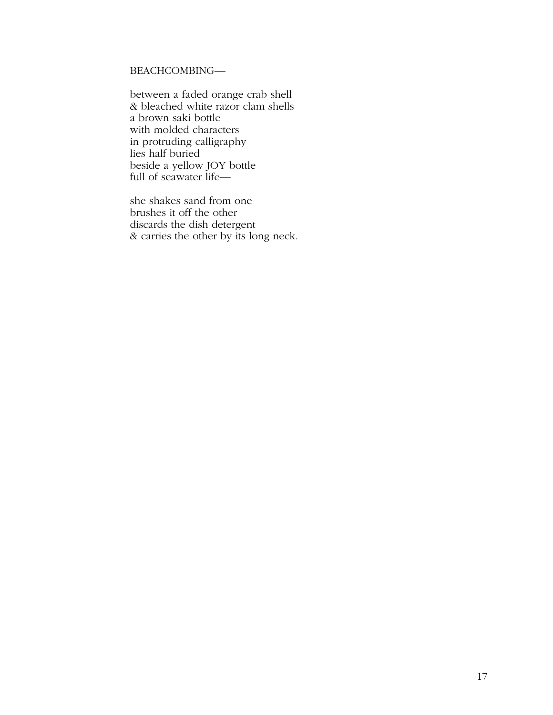# BEACHCOMBING—

 between a faded orange crab shell & bleached white razor clam shells a brown saki bottle with molded characters in protruding calligraphy lies half buried beside a yellow JOY bottle full of seawater life—

 she shakes sand from one brushes it off the other discards the dish detergent & carries the other by its long neck.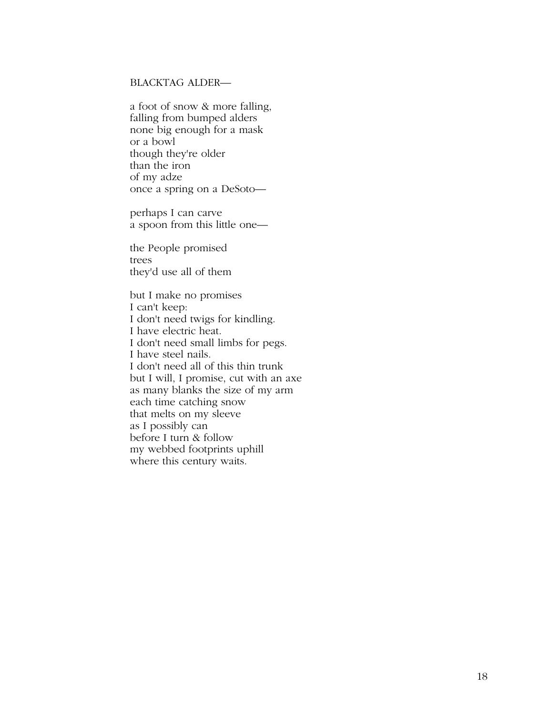#### BLACKTAG ALDER—

 a foot of snow & more falling, falling from bumped alders none big enough for a mask or a bowl though they're older than the iron of my adze once a spring on a DeSoto—

 perhaps I can carve a spoon from this little one—

 the People promised trees they'd use all of them

 but I make no promises I can't keep: I don't need twigs for kindling. I have electric heat. I don't need small limbs for pegs. I have steel nails. I don't need all of this thin trunk but I will, I promise, cut with an axe as many blanks the size of my arm each time catching snow that melts on my sleeve as I possibly can before I turn & follow my webbed footprints uphill where this century waits.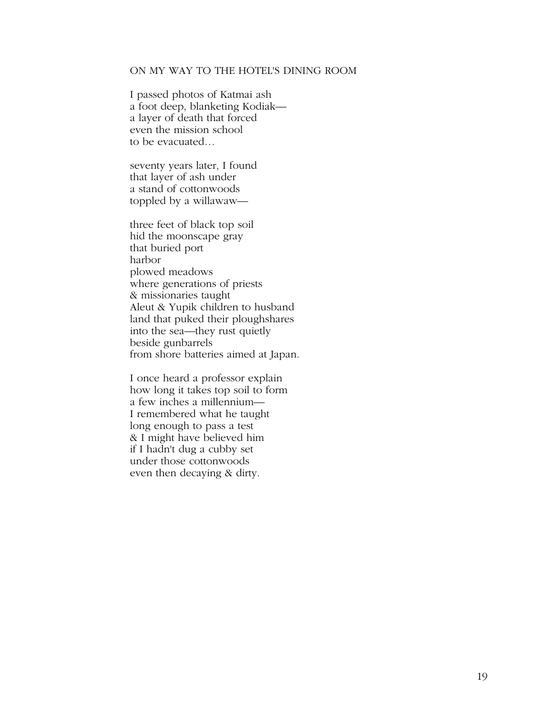## ON MY WAY TO THE HOTEL'S DINING ROOM

 I passed photos of Katmai ash a foot deep, blanketing Kodiak a layer of death that forced even the mission school to be evacuated…

 seventy years later, I found that layer of ash under a stand of cottonwoods toppled by a willawaw—

 three feet of black top soil hid the moonscape gray that buried port harbor plowed meadows where generations of priests & missionaries taught Aleut & Yupik children to husband land that puked their ploughshares into the sea—they rust quietly beside gunbarrels from shore batteries aimed at Japan.

 I once heard a professor explain how long it takes top soil to form a few inches a millennium— I remembered what he taught long enough to pass a test & I might have believed him if I hadn't dug a cubby set under those cottonwoods even then decaying & dirty.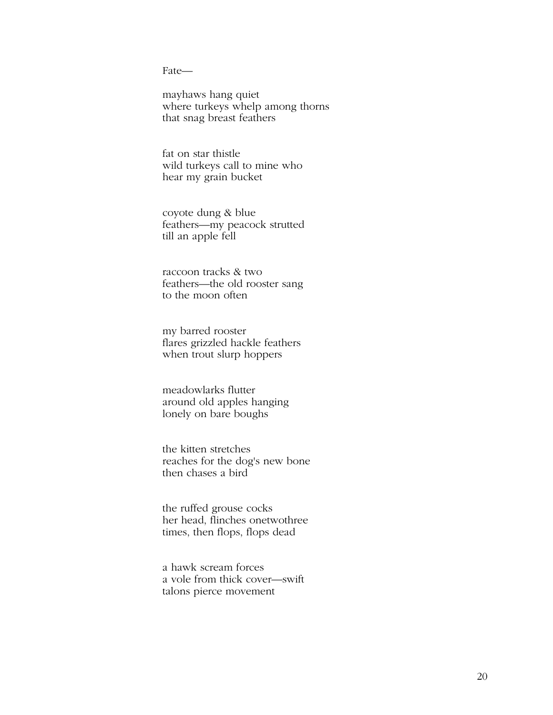Fate—

 mayhaws hang quiet where turkeys whelp among thorns that snag breast feathers

 fat on star thistle wild turkeys call to mine who hear my grain bucket

 coyote dung & blue feathers—my peacock strutted till an apple fell

 raccoon tracks & two feathers—the old rooster sang to the moon often

 my barred rooster flares grizzled hackle feathers when trout slurp hoppers

 meadowlarks flutter around old apples hanging lonely on bare boughs

 the kitten stretches reaches for the dog's new bone then chases a bird

 the ruffed grouse cocks her head, flinches onetwothree times, then flops, flops dead

 a hawk scream forces a vole from thick cover—swift talons pierce movement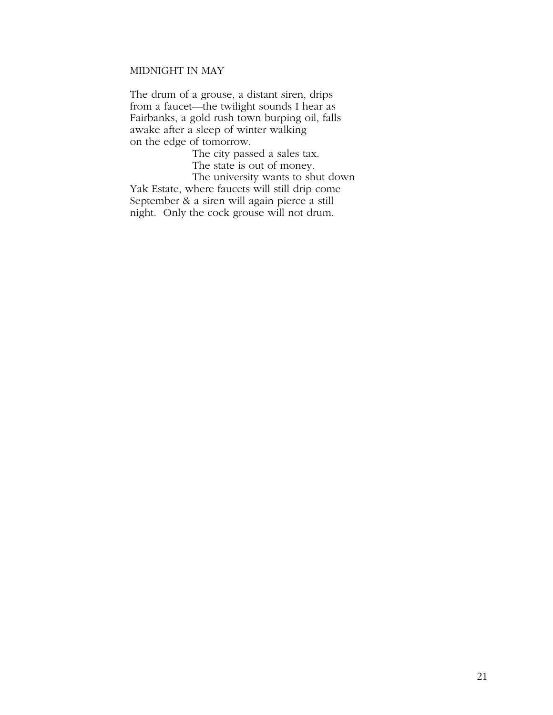## MIDNIGHT IN MAY

 The drum of a grouse, a distant siren, drips from a faucet—the twilight sounds I hear as Fairbanks, a gold rush town burping oil, falls awake after a sleep of winter walking on the edge of tomorrow.

 The city passed a sales tax. The state is out of money.

 The university wants to shut down Yak Estate, where faucets will still drip come September & a siren will again pierce a still night. Only the cock grouse will not drum.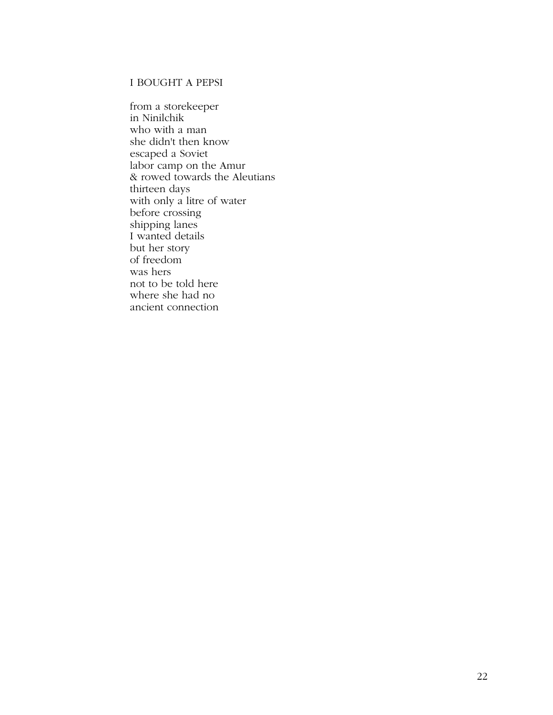## I BOUGHT A PEPSI

 from a storekeeper in Ninilchik who with a man she didn't then know escaped a Soviet labor camp on the Amur & rowed towards the Aleutians thirteen days with only a litre of water before crossing shipping lanes I wanted details but her story of freedom was hers not to be told here where she had no ancient connection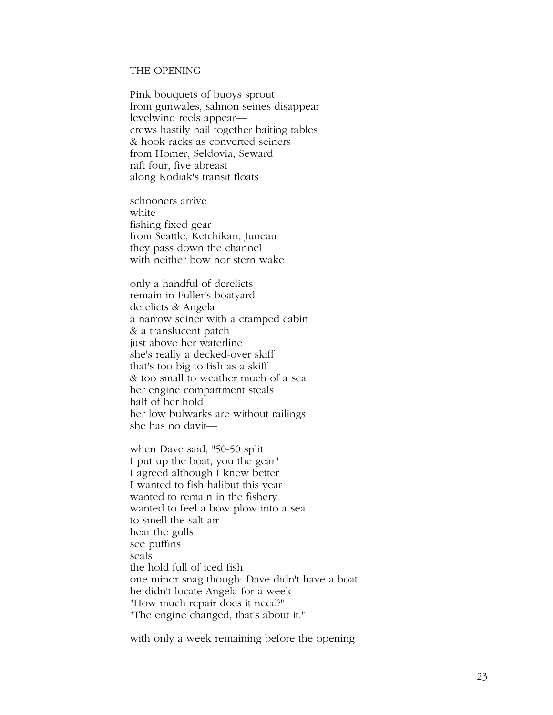#### THE OPENING

 Pink bouquets of buoys sprout from gunwales, salmon seines disappear levelwind reels appear crews hastily nail together baiting tables & hook racks as converted seiners from Homer, Seldovia, Seward raft four, five abreast along Kodiak's transit floats

 schooners arrive white fishing fixed gear from Seattle, Ketchikan, Juneau they pass down the channel with neither bow nor stern wake

 only a handful of derelicts remain in Fuller's boatyard derelicts & Angela a narrow seiner with a cramped cabin & a translucent patch just above her waterline she's really a decked-over skiff that's too big to fish as a skiff & too small to weather much of a sea her engine compartment steals half of her hold her low bulwarks are without railings she has no davit—

 when Dave said, "50-50 split I put up the boat, you the gear" I agreed although I knew better I wanted to fish halibut this year wanted to remain in the fishery wanted to feel a bow plow into a sea to smell the salt air hear the gulls see puffins seals the hold full of iced fish one minor snag though: Dave didn't have a boat he didn't locate Angela for a week "How much repair does it need?" "The engine changed, that's about it."

with only a week remaining before the opening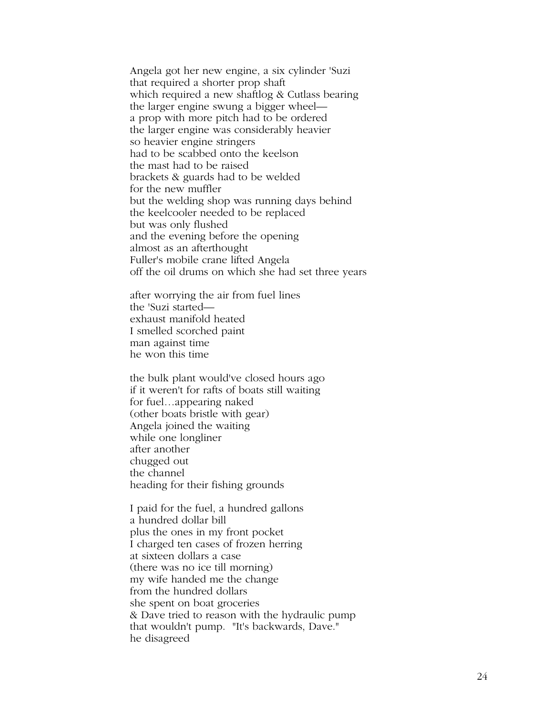Angela got her new engine, a six cylinder 'Suzi that required a shorter prop shaft which required a new shaftlog & Cutlass bearing the larger engine swung a bigger wheel a prop with more pitch had to be ordered the larger engine was considerably heavier so heavier engine stringers had to be scabbed onto the keelson the mast had to be raised brackets & guards had to be welded for the new muffler but the welding shop was running days behind the keelcooler needed to be replaced but was only flushed and the evening before the opening almost as an afterthought Fuller's mobile crane lifted Angela off the oil drums on which she had set three years

 after worrying the air from fuel lines the 'Suzi started exhaust manifold heated I smelled scorched paint man against time he won this time

 the bulk plant would've closed hours ago if it weren't for rafts of boats still waiting for fuel…appearing naked (other boats bristle with gear) Angela joined the waiting while one longliner after another chugged out the channel heading for their fishing grounds

 I paid for the fuel, a hundred gallons a hundred dollar bill plus the ones in my front pocket I charged ten cases of frozen herring at sixteen dollars a case (there was no ice till morning) my wife handed me the change from the hundred dollars she spent on boat groceries & Dave tried to reason with the hydraulic pump that wouldn't pump. "It's backwards, Dave." he disagreed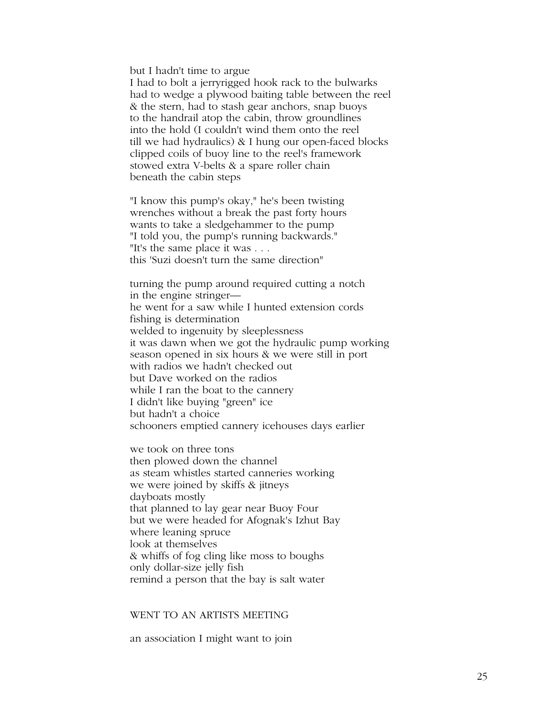but I hadn't time to argue

 I had to bolt a jerryrigged hook rack to the bulwarks had to wedge a plywood baiting table between the reel & the stern, had to stash gear anchors, snap buoys to the handrail atop the cabin, throw groundlines into the hold (I couldn't wind them onto the reel till we had hydraulics) & I hung our open-faced blocks clipped coils of buoy line to the reel's framework stowed extra V-belts & a spare roller chain beneath the cabin steps

 "I know this pump's okay," he's been twisting wrenches without a break the past forty hours wants to take a sledgehammer to the pump "I told you, the pump's running backwards." "It's the same place it was . . . this 'Suzi doesn't turn the same direction"

 turning the pump around required cutting a notch in the engine stringer he went for a saw while I hunted extension cords fishing is determination welded to ingenuity by sleeplessness it was dawn when we got the hydraulic pump working season opened in six hours & we were still in port with radios we hadn't checked out but Dave worked on the radios while I ran the boat to the cannery I didn't like buying "green" ice but hadn't a choice schooners emptied cannery icehouses days earlier

 we took on three tons then plowed down the channel as steam whistles started canneries working we were joined by skiffs & jitneys dayboats mostly that planned to lay gear near Buoy Four but we were headed for Afognak's Izhut Bay where leaning spruce look at themselves & whiffs of fog cling like moss to boughs only dollar-size jelly fish remind a person that the bay is salt water

#### WENT TO AN ARTISTS MEETING

an association I might want to join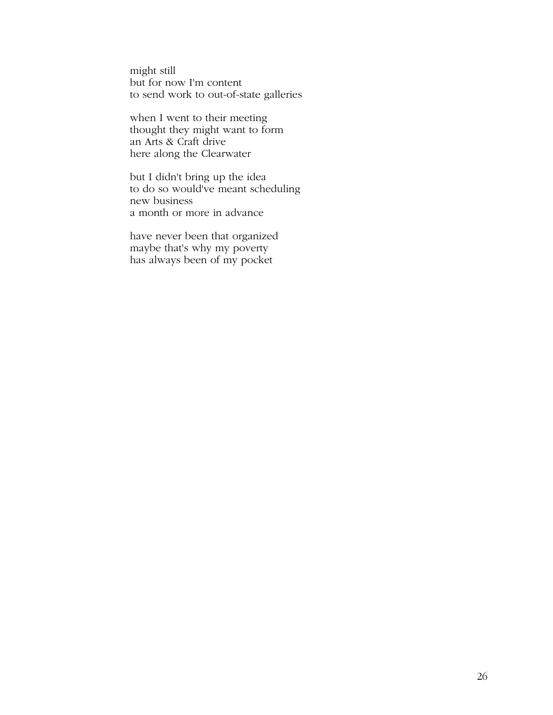might still but for now I'm content to send work to out-of-state galleries

 when I went to their meeting thought they might want to form an Arts & Craft drive here along the Clearwater

> but I didn't bring up the idea to do so would've meant scheduling new business a month or more in advance

 have never been that organized maybe that's why my poverty has always been of my pocket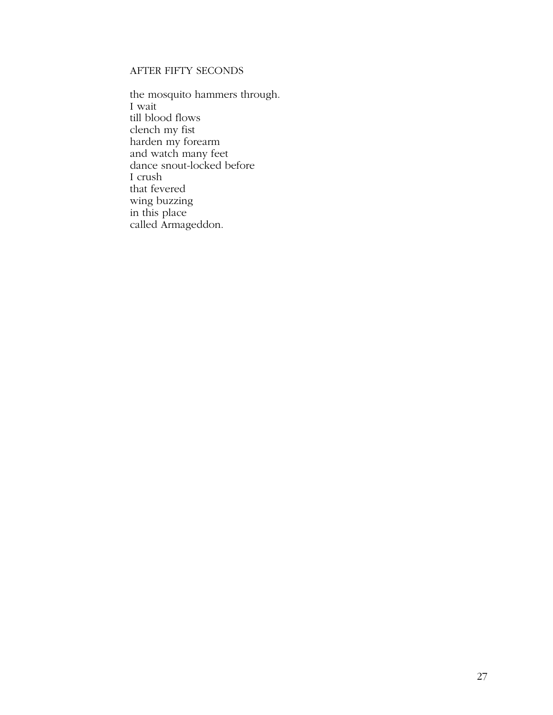# AFTER FIFTY SECONDS

 the mosquito hammers through. I wait till blood flows clench my fist harden my forearm and watch many feet dance snout-locked before I crush that fevered wing buzzing in this place called Armageddon.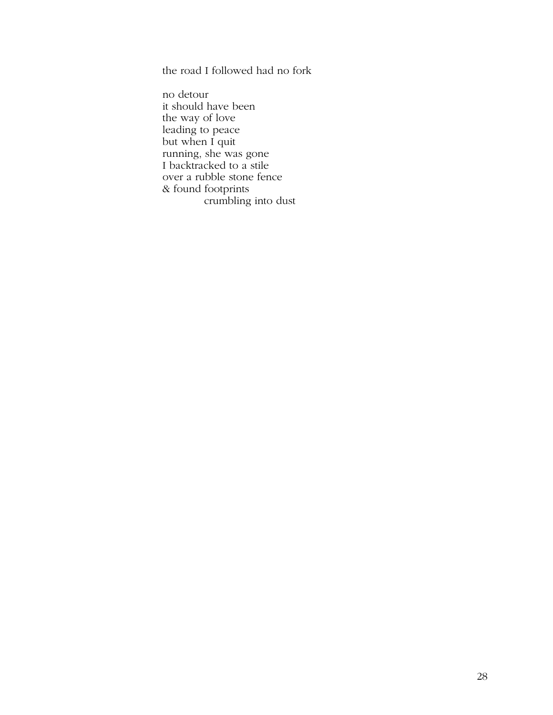the road I followed had no fork

 no detour it should have been the way of love leading to peace but when I quit running, she was gone I backtracked to a stile over a rubble stone fence & found footprints crumbling into dust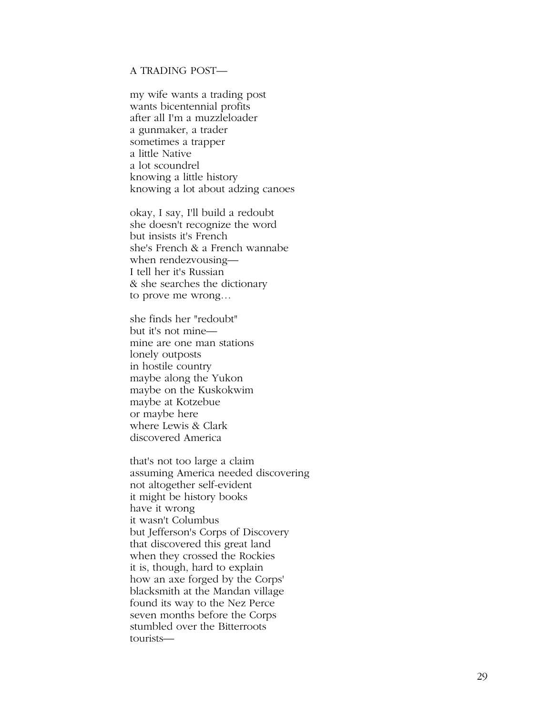#### A TRADING POST—

 my wife wants a trading post wants bicentennial profits after all I'm a muzzleloader a gunmaker, a trader sometimes a trapper a little Native a lot scoundrel knowing a little history knowing a lot about adzing canoes

 okay, I say, I'll build a redoubt she doesn't recognize the word but insists it's French she's French & a French wannabe when rendezvousing— I tell her it's Russian & she searches the dictionary to prove me wrong…

 she finds her "redoubt" but it's not mine mine are one man stations lonely outposts in hostile country maybe along the Yukon maybe on the Kuskokwim maybe at Kotzebue or maybe here where Lewis & Clark discovered America

 that's not too large a claim assuming America needed discovering not altogether self-evident it might be history books have it wrong it wasn't Columbus but Jefferson's Corps of Discovery that discovered this great land when they crossed the Rockies it is, though, hard to explain how an axe forged by the Corps' blacksmith at the Mandan village found its way to the Nez Perce seven months before the Corps stumbled over the Bitterroots tourists—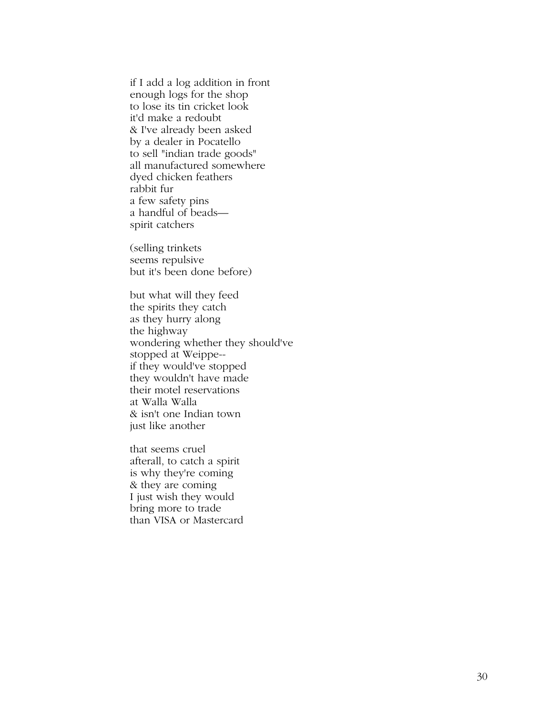if I add a log addition in front enough logs for the shop to lose its tin cricket look it'd make a redoubt & I've already been asked by a dealer in Pocatello to sell "indian trade goods" all manufactured somewhere dyed chicken feathers rabbit fur a few safety pins a handful of beads spirit catchers

 (selling trinkets seems repulsive but it's been done before)

 but what will they feed the spirits they catch as they hurry along the highway wondering whether they should've stopped at Weippe- if they would've stopped they wouldn't have made their motel reservations at Walla Walla & isn't one Indian town just like another

 that seems cruel afterall, to catch a spirit is why they're coming & they are coming I just wish they would bring more to trade than VISA or Mastercard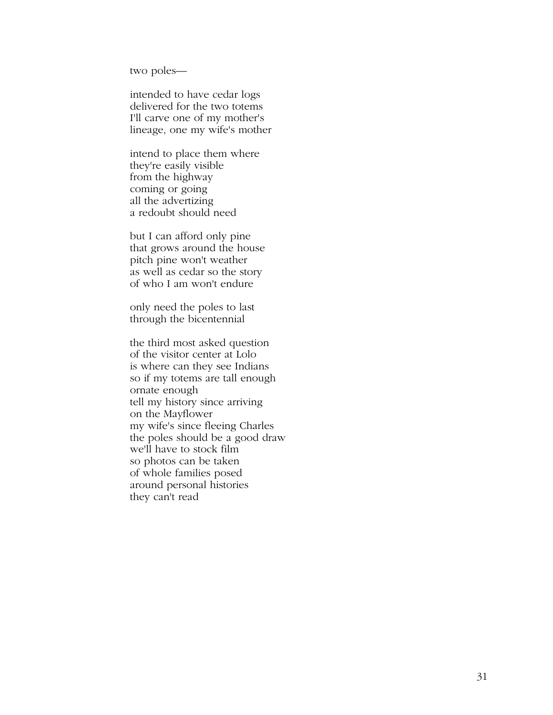two poles—

 intended to have cedar logs delivered for the two totems I'll carve one of my mother's lineage, one my wife's mother

 intend to place them where they're easily visible from the highway coming or going all the advertizing a redoubt should need

 but I can afford only pine that grows around the house pitch pine won't weather as well as cedar so the story of who I am won't endure

 only need the poles to last through the bicentennial

 the third most asked question of the visitor center at Lolo is where can they see Indians so if my totems are tall enough ornate enough tell my history since arriving on the Mayflower my wife's since fleeing Charles the poles should be a good draw we'll have to stock film so photos can be taken of whole families posed around personal histories they can't read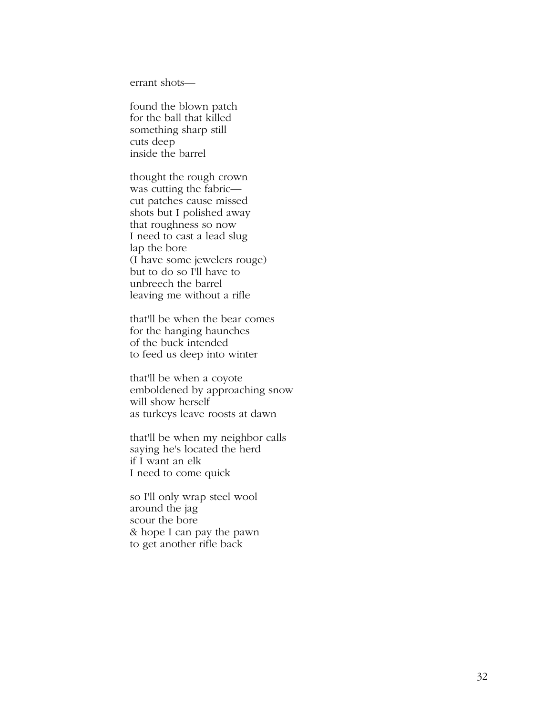errant shots—

 found the blown patch for the ball that killed something sharp still cuts deep inside the barrel

 thought the rough crown was cutting the fabric cut patches cause missed shots but I polished away that roughness so now I need to cast a lead slug lap the bore (I have some jewelers rouge) but to do so I'll have to unbreech the barrel leaving me without a rifle

 that'll be when the bear comes for the hanging haunches of the buck intended to feed us deep into winter

 that'll be when a coyote emboldened by approaching snow will show herself as turkeys leave roosts at dawn

 that'll be when my neighbor calls saying he's located the herd if I want an elk I need to come quick

 so I'll only wrap steel wool around the jag scour the bore & hope I can pay the pawn to get another rifle back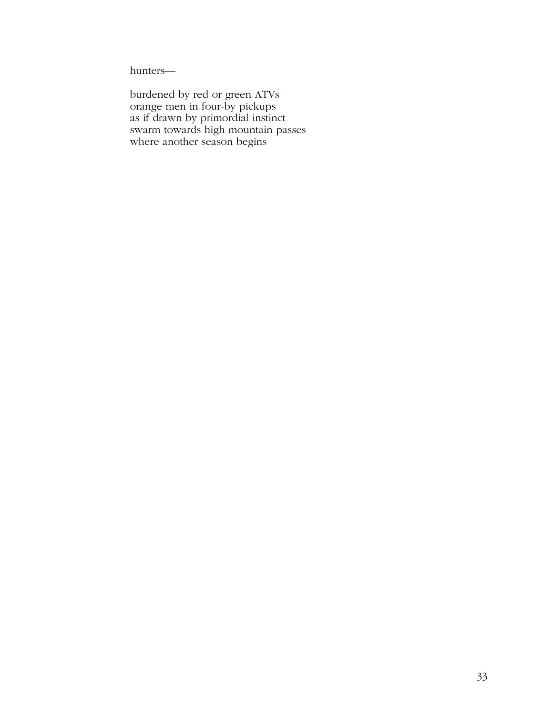hunters—

 burdened by red or green ATVs orange men in four-by pickups as if drawn by primordial instinct swarm towards high mountain passes where another season begins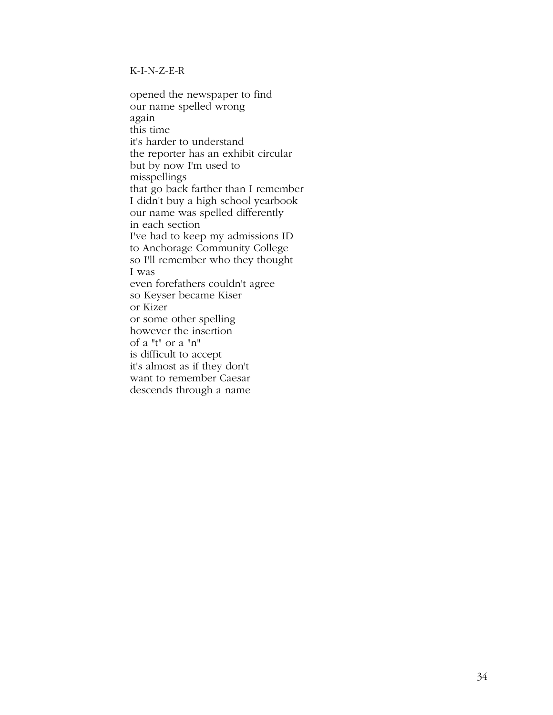## K-I-N-Z-E-R

 opened the newspaper to find our name spelled wrong again this time it's harder to understand the reporter has an exhibit circular but by now I'm used to misspellings that go back farther than I remember I didn't buy a high school yearbook our name was spelled differently in each section I've had to keep my admissions ID to Anchorage Community College so I'll remember who they thought I was even forefathers couldn't agree so Keyser became Kiser or Kizer or some other spelling however the insertion of a "t" or a "n" is difficult to accept it's almost as if they don't want to remember Caesar descends through a name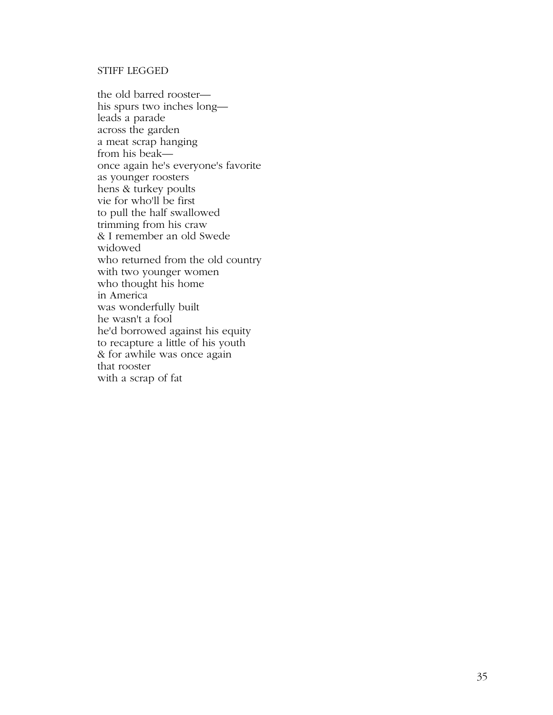## STIFF LEGGED

the old barred rooster his spurs two inches long leads a parade across the garden a meat scrap hanging from his beak once again he's everyone's favorite as younger roosters hens & turkey poults vie for who'll be first to pull the half swallowed trimming from his craw & I remember an old Swede widowed who returned from the old country with two younger women who thought his home in America was wonderfully built he wasn't a fool he'd borrowed against his equity to recapture a little of his youth & for awhile was once again that rooster with a scrap of fat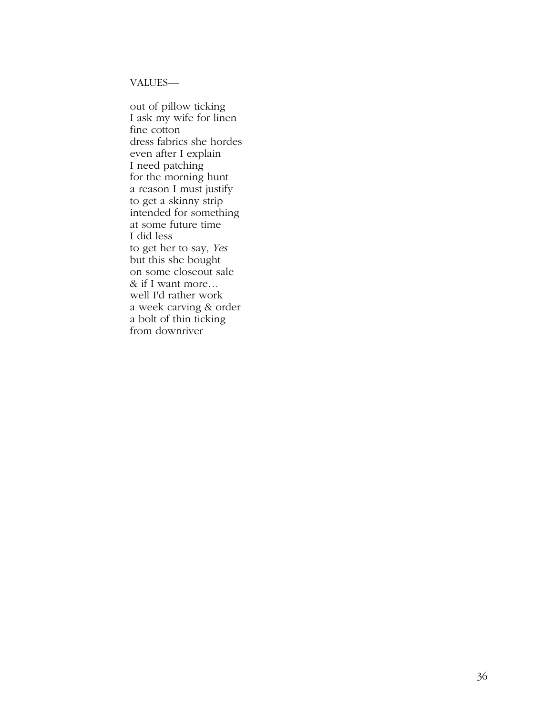VALUES—

 out of pillow ticking I ask my wife for linen fine cotton dress fabrics she hordes even after I explain I need patching for the morning hunt a reason I must justify to get a skinny strip intended for something at some future time I did less to get her to say, *Yes* but this she bought on some closeout sale & if I want more… well I'd rather work a week carving & order a bolt of thin ticking from downriver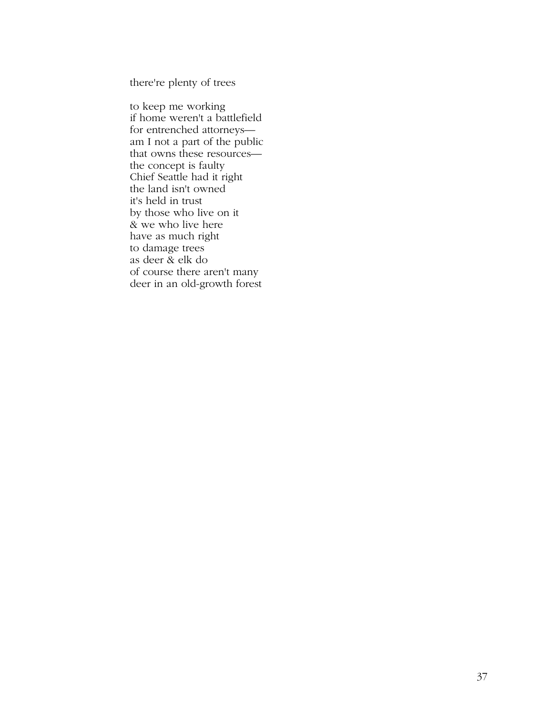there're plenty of trees

to keep me working if home weren't a battlefield for entrenched attorneys am I not a part of the public that owns these resources the concept is faulty Chief Seattle had it right the land isn't owned it's held in trust by those who live on it & we who live here have as much right to damage trees as deer & elk do of course there aren't many deer in an old-growth forest